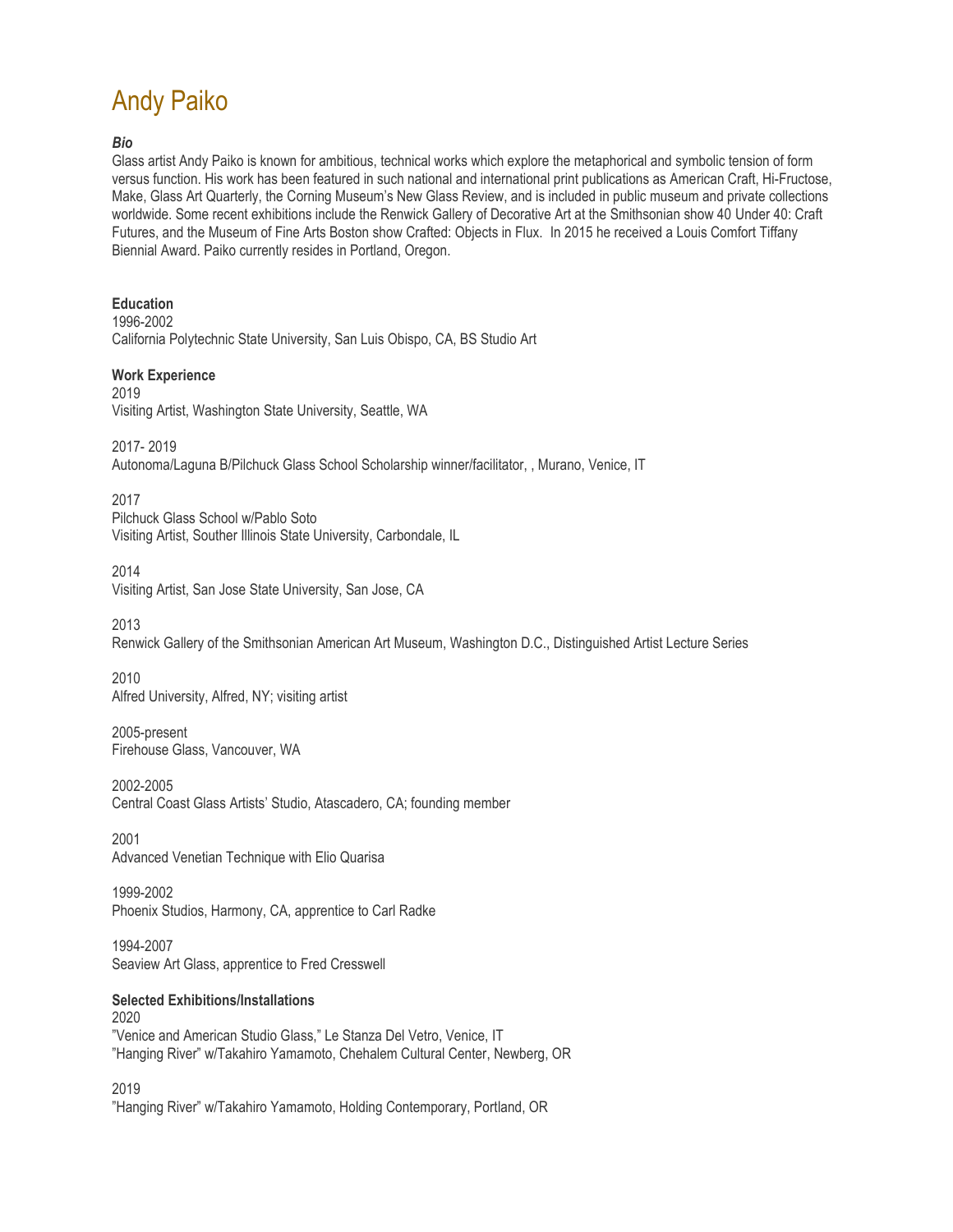# Andy Paiko

## *Bio*

Glass artist Andy Paiko is known for ambitious, technical works which explore the metaphorical and symbolic tension of form versus function. His work has been featured in such national and international print publications as American Craft, Hi-Fructose, Make, Glass Art Quarterly, the Corning Museum's New Glass Review, and is included in public museum and private collections worldwide. Some recent exhibitions include the Renwick Gallery of Decorative Art at the Smithsonian show 40 Under 40: Craft Futures, and the Museum of Fine Arts Boston show Crafted: Objects in Flux. In 2015 he received a Louis Comfort Tiffany Biennial Award. Paiko currently resides in Portland, Oregon.

#### **Education**

1996-2002 California Polytechnic State University, San Luis Obispo, CA, BS Studio Art

#### **Work Experience**

2019 Visiting Artist, Washington State University, Seattle, WA

2017- 2019 Autonoma/Laguna B/Pilchuck Glass School Scholarship winner/facilitator, , Murano, Venice, IT

2017 Pilchuck Glass School w/Pablo Soto Visiting Artist, Souther Illinois State University, Carbondale, IL

#### 2014 Visiting Artist, San Jose State University, San Jose, CA

2013 Renwick Gallery of the Smithsonian American Art Museum, Washington D.C., Distinguished Artist Lecture Series

2010 Alfred University, Alfred, NY; visiting artist

2005-present Firehouse Glass, Vancouver, WA

2002-2005 Central Coast Glass Artists' Studio, Atascadero, CA; founding member

2001 Advanced Venetian Technique with Elio Quarisa

1999-2002 Phoenix Studios, Harmony, CA, apprentice to Carl Radke

1994-2007 Seaview Art Glass, apprentice to Fred Cresswell

## **Selected Exhibitions/Installations**

2020 "Venice and American Studio Glass," Le Stanza Del Vetro, Venice, IT "Hanging River" w/Takahiro Yamamoto, Chehalem Cultural Center, Newberg, OR

2019

"Hanging River" w/Takahiro Yamamoto, Holding Contemporary, Portland, OR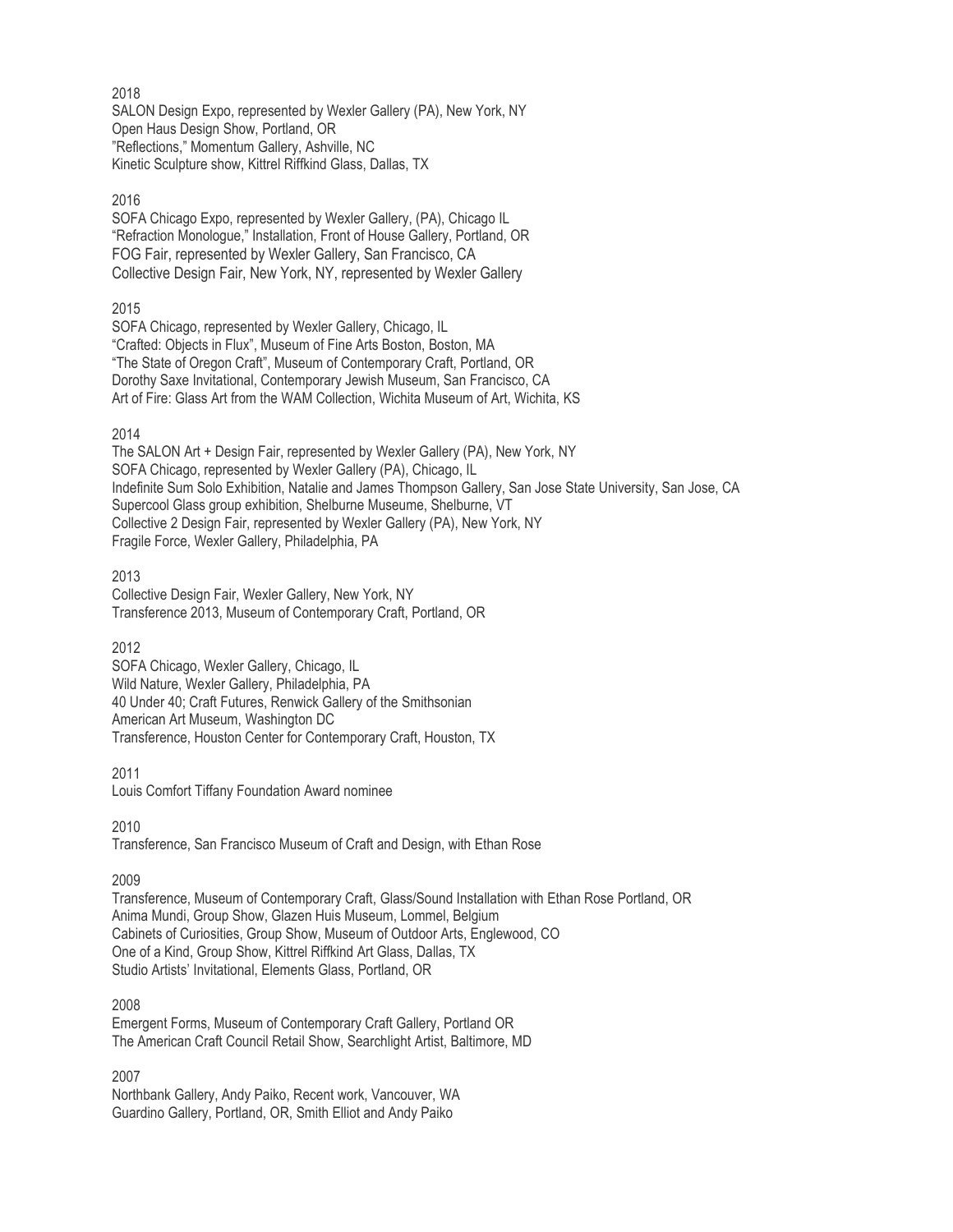2018 SALON Design Expo, represented by Wexler Gallery (PA), New York, NY Open Haus Design Show, Portland, OR "Reflections," Momentum Gallery, Ashville, NC Kinetic Sculpture show, Kittrel Riffkind Glass, Dallas, TX

# 2016

SOFA Chicago Expo, represented by Wexler Gallery, (PA), Chicago IL "Refraction Monologue," Installation, Front of House Gallery, Portland, OR FOG Fair, represented by Wexler Gallery, San Francisco, CA Collective Design Fair, New York, NY, represented by Wexler Gallery

# 2015

SOFA Chicago, represented by Wexler Gallery, Chicago, IL "Crafted: Objects in Flux", Museum of Fine Arts Boston, Boston, MA "The State of Oregon Craft", Museum of Contemporary Craft, Portland, OR Dorothy Saxe Invitational, Contemporary Jewish Museum, San Francisco, CA Art of Fire: Glass Art from the WAM Collection, Wichita Museum of Art, Wichita, KS

# 2014

The SALON Art + Design Fair, represented by Wexler Gallery (PA), New York, NY SOFA Chicago, represented by Wexler Gallery (PA), Chicago, IL Indefinite Sum Solo Exhibition, Natalie and James Thompson Gallery, San Jose State University, San Jose, CA Supercool Glass group exhibition, Shelburne Museume, Shelburne, VT Collective 2 Design Fair, represented by Wexler Gallery (PA), New York, NY Fragile Force, Wexler Gallery, Philadelphia, PA

2013 Collective Design Fair, Wexler Gallery, New York, NY Transference 2013, Museum of Contemporary Craft, Portland, OR

## 2012

SOFA Chicago, Wexler Gallery, Chicago, IL Wild Nature, Wexler Gallery, Philadelphia, PA 40 Under 40; Craft Futures, Renwick Gallery of the Smithsonian American Art Museum, Washington DC Transference, Houston Center for Contemporary Craft, Houston, TX

2011

Louis Comfort Tiffany Foundation Award nominee

2010 Transference, San Francisco Museum of Craft and Design, with Ethan Rose

2009

Transference, Museum of Contemporary Craft, Glass/Sound Installation with Ethan Rose Portland, OR Anima Mundi, Group Show, Glazen Huis Museum, Lommel, Belgium Cabinets of Curiosities, Group Show, Museum of Outdoor Arts, Englewood, CO One of a Kind, Group Show, Kittrel Riffkind Art Glass, Dallas, TX Studio Artists' Invitational, Elements Glass, Portland, OR

2008

Emergent Forms, Museum of Contemporary Craft Gallery, Portland OR The American Craft Council Retail Show, Searchlight Artist, Baltimore, MD

2007

Northbank Gallery, Andy Paiko, Recent work, Vancouver, WA Guardino Gallery, Portland, OR, Smith Elliot and Andy Paiko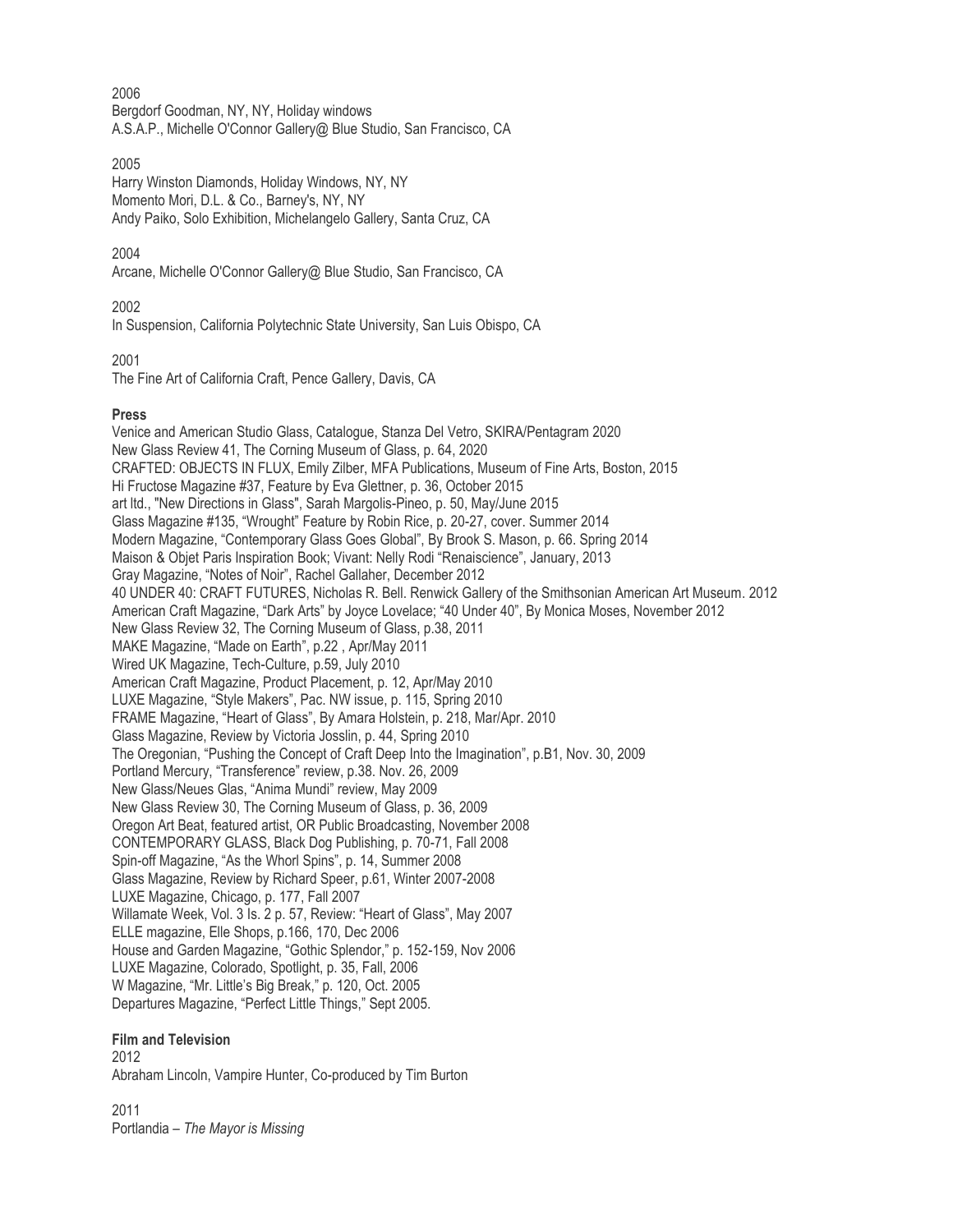2006

Bergdorf Goodman, NY, NY, Holiday windows A.S.A.P., Michelle O'Connor Gallery@ Blue Studio, San Francisco, CA

2005

Harry Winston Diamonds, Holiday Windows, NY, NY Momento Mori, D.L. & Co., Barney's, NY, NY Andy Paiko, Solo Exhibition, Michelangelo Gallery, Santa Cruz, CA

2004

Arcane, Michelle O'Connor Gallery@ Blue Studio, San Francisco, CA

2002

In Suspension, California Polytechnic State University, San Luis Obispo, CA

2001

The Fine Art of California Craft, Pence Gallery, Davis, CA

## **Press**

Venice and American Studio Glass, Catalogue, Stanza Del Vetro, SKIRA/Pentagram 2020 New Glass Review 41, The Corning Museum of Glass, p. 64, 2020 CRAFTED: OBJECTS IN FLUX, Emily Zilber, MFA Publications, Museum of Fine Arts, Boston, 2015 Hi Fructose Magazine #37, Feature by Eva Glettner, p. 36, October 2015 art ltd., "New Directions in Glass", Sarah Margolis-Pineo, p. 50, May/June 2015 Glass Magazine #135, "Wrought" Feature by Robin Rice, p. 20-27, cover. Summer 2014 Modern Magazine, "Contemporary Glass Goes Global", By Brook S. Mason, p. 66. Spring 2014 Maison & Objet Paris Inspiration Book; Vivant: Nelly Rodi "Renaiscience", January, 2013 Gray Magazine, "Notes of Noir", Rachel Gallaher, December 2012 40 UNDER 40: CRAFT FUTURES, Nicholas R. Bell. Renwick Gallery of the Smithsonian American Art Museum. 2012 American Craft Magazine, "Dark Arts" by Joyce Lovelace; "40 Under 40", By Monica Moses, November 2012 New Glass Review 32, The Corning Museum of Glass, p.38, 2011 MAKE Magazine, "Made on Earth", p.22 , Apr/May 2011 Wired UK Magazine, Tech-Culture, p.59, July 2010 American Craft Magazine, Product Placement, p. 12, Apr/May 2010 LUXE Magazine, "Style Makers", Pac. NW issue, p. 115, Spring 2010 FRAME Magazine, "Heart of Glass", By Amara Holstein, p. 218, Mar/Apr. 2010 Glass Magazine, Review by Victoria Josslin, p. 44, Spring 2010 The Oregonian, "Pushing the Concept of Craft Deep Into the Imagination", p.B1, Nov. 30, 2009 Portland Mercury, "Transference" review, p.38. Nov. 26, 2009 New Glass/Neues Glas, "Anima Mundi" review, May 2009 New Glass Review 30, The Corning Museum of Glass, p. 36, 2009 Oregon Art Beat, featured artist, OR Public Broadcasting, November 2008 CONTEMPORARY GLASS, Black Dog Publishing, p. 70-71, Fall 2008 Spin-off Magazine, "As the Whorl Spins", p. 14, Summer 2008 Glass Magazine, Review by Richard Speer, p.61, Winter 2007-2008 LUXE Magazine, Chicago, p. 177, Fall 2007 Willamate Week, Vol. 3 Is. 2 p. 57, Review: "Heart of Glass", May 2007 ELLE magazine, Elle Shops, p.166, 170, Dec 2006 House and Garden Magazine, "Gothic Splendor," p. 152-159, Nov 2006 LUXE Magazine, Colorado, Spotlight, p. 35, Fall, 2006 W Magazine, "Mr. Little's Big Break," p. 120, Oct. 2005 Departures Magazine, "Perfect Little Things," Sept 2005.

## **Film and Television**

2012 Abraham Lincoln, Vampire Hunter, Co-produced by Tim Burton

2011 Portlandia – *The Mayor is Missing*